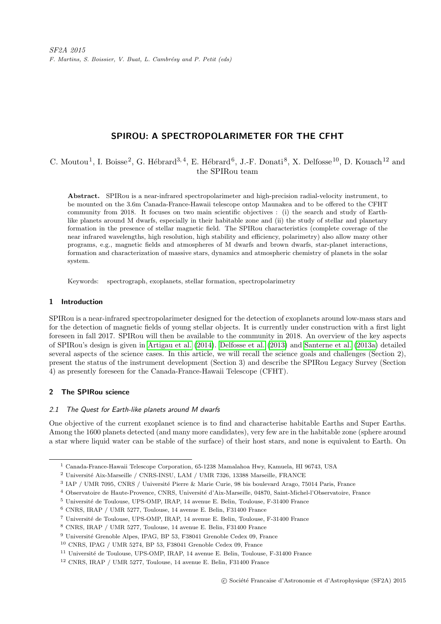# SPIROU: A SPECTROPOLARIMETER FOR THE CFHT

# C. Moutou<sup>1</sup>, I. Boisse<sup>2</sup>, G. Hébrard<sup>3, 4</sup>, E. Hébrard<sup>6</sup>, J.-F. Donati<sup>8</sup>, X. Delfosse<sup>10</sup>, D. Kouach<sup>12</sup> and the SPIRou team

Abstract. SPIRou is a near-infrared spectropolarimeter and high-precision radial-velocity instrument, to be mounted on the 3.6m Canada-France-Hawaii telescope ontop Maunakea and to be offered to the CFHT community from 2018. It focuses on two main scientific objectives : (i) the search and study of Earthlike planets around M dwarfs, especially in their habitable zone and (ii) the study of stellar and planetary formation in the presence of stellar magnetic field. The SPIRou characteristics (complete coverage of the near infrared wavelengths, high resolution, high stability and efficiency, polarimetry) also allow many other programs, e.g., magnetic fields and atmospheres of M dwarfs and brown dwarfs, star-planet interactions, formation and characterization of massive stars, dynamics and atmospheric chemistry of planets in the solar system.

Keywords: spectrograph, exoplanets, stellar formation, spectropolarimetry

## 1 Introduction

SPIRou is a near-infrared spectropolarimeter designed for the detection of exoplanets around low-mass stars and for the detection of magnetic fields of young stellar objects. It is currently under construction with a first light foreseen in fall 2017. SPIRou will then be available to the community in 2018. An overview of the key aspects of SPIRou's design is given in [Artigau et al.](#page-7-0) [\(2014\)](#page-7-0). [Delfosse et al.](#page-7-1) [\(2013\)](#page-7-1) and [Santerne et al.](#page-7-2) [\(2013a\)](#page-7-2) detailed several aspects of the science cases. In this article, we will recall the science goals and challenges (Section 2), present the status of the instrument development (Section 3) and describe the SPIRou Legacy Survey (Section 4) as presently foreseen for the Canada-France-Hawaii Telescope (CFHT).

## 2 The SPIRou science

## 2.1 The Quest for Earth-like planets around M dwarfs

One objective of the current exoplanet science is to find and characterise habitable Earths and Super Earths. Among the 1600 planets detected (and many more candidates), very few are in the habitable zone (sphere around a star where liquid water can be stable of the surface) of their host stars, and none is equivalent to Earth. On

 $^{\rm 1}$  Canada-France-Hawaii Telescope Corporation, 65-1238 Mamalahoa Hwy, Kamuela, HI 96743, USA

 $^2$ Université Aix-Marseille / CNRS-INSU, LAM / UMR 7326, 13388 Marseille, FRANCE

<sup>&</sup>lt;sup>3</sup> IAP / UMR 7095, CNRS / Université Pierre & Marie Curie, 98 bis boulevard Arago, 75014 Paris, France

<sup>&</sup>lt;sup>4</sup> Observatoire de Haute-Provence, CNRS, Université d'Aix-Marseille, 04870, Saint-Michel-l'Observatoire, France

 $5$  Université de Toulouse, UPS-OMP, IRAP, 14 avenue E. Belin, Toulouse, F-31400 France

<sup>6</sup> CNRS, IRAP / UMR 5277, Toulouse, 14 avenue E. Belin, F31400 France

<sup>&</sup>lt;sup>7</sup> Université de Toulouse, UPS-OMP, IRAP, 14 avenue E. Belin, Toulouse, F-31400 France

<sup>8</sup> CNRS, IRAP / UMR 5277, Toulouse, 14 avenue E. Belin, F31400 France

 $9$  Université Grenoble Alpes, IPAG, BP 53, F38041 Grenoble Cedex 09, France

<sup>10</sup> CNRS, IPAG / UMR 5274, BP 53, F38041 Grenoble Cedex 09, France

<sup>&</sup>lt;sup>11</sup> Université de Toulouse, UPS-OMP, IRAP, 14 avenue E. Belin, Toulouse, F-31400 France

<sup>12</sup> CNRS, IRAP / UMR 5277, Toulouse, 14 avenue E. Belin, F31400 France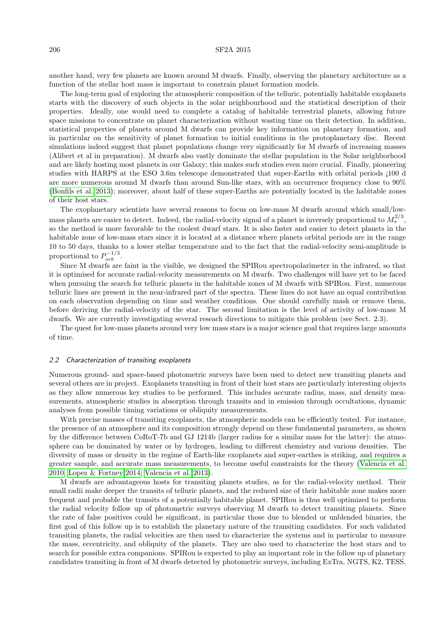### 206 SF2A 2015

another hand, very few planets are known around M dwarfs. Finally, observing the planetary architecture as a function of the stellar host mass is important to constrain planet formation models.

The long-term goal of exploring the atmospheric composition of the telluric, potentially habitable exoplanets starts with the discovery of such objects in the solar neighbourhood and the statistical description of their properties. Ideally, one would need to complete a catalog of habitable terrestrial planets, allowing future space missions to concentrate on planet characterization without wasting time on their detection. In addition, statistical properties of planets around M dwarfs can provide key information on planetary formation, and in particular on the sensitivity of planet formation to initial conditions in the protoplanetary disc. Recent simulations indeed suggest that planet populations change very significantly for M dwarfs of increasing masses (Alibert et al in preparation). M dwarfs also vastly dominate the stellar population in the Solar neighborhood and are likely hosting most planets in our Galaxy; this makes such studies even more crucial. Finally, pioneering studies with HARPS at the ESO 3.6m telescope demonstrated that super-Earths with orbital periods ¡100 d are more numerous around M dwarfs than around Sun-like stars, with an occurrence frequency close to 90% [\(Bonfils et al. 2013\)](#page-7-3); moreover, about half of these super-Earths are potentially located in the habitable zones of their host stars.

The exoplanetary scientists have several reasons to focus on low-mass M dwarfs around which small/lowmass planets are easier to detect. Indeed, the radial-velocity signal of a planet is inversely proportional to  $M_{\star}^{2/3}$ , so the method is more favorable to the coolest dwarf stars. It is also faster and easier to detect planets in the habitable zone of low-mass stars since it is located at a distance where planets orbital periods are in the range 10 to 50 days, thanks to a lower stellar temperature and to the fact that the radial-velocity semi-amplitude is proportional to  $P_{orb}^{-1/3}$ .

Since M dwarfs are faint in the visible, we designed the SPIRou spectropolarimeter in the infrared, so that it is optimised for accurate radial-velocity measurements on M dwarfs. Two challenges will have yet to be faced when pursuing the search for telluric planets in the habitable zones of M dwarfs with SPIRou. First, numerous telluric lines are present in the near-infrared part of the spectra. These lines do not have an equal contribution on each observation depending on time and weather conditions. One should carefully mask or remove them, before deriving the radial-velocity of the star. The second limitation is the level of activity of low-mass M dwarfs. We are currently investigating several reseach directions to mitigate this problem (see Sect. 2.3).

The quest for low-mass planets around very low mass stars is a major science goal that requires large amounts of time.

## 2.2 Characterization of transiting exoplanets

Numerous ground- and space-based photometric surveys have been used to detect new transiting planets and several others are in project. Exoplanets transiting in front of their host stars are particularly interesting objects as they allow numerous key studies to be performed. This includes accurate radius, mass, and density measurements, atmospheric studies in absorption through transits and in emission through occultations, dynamic analyses from possible timing variations or obliquity measurements.

With precise masses of transiting exoplanets, the atmospheric models can be efficiently tested. For instance, the presence of an atmosphere and its composition strongly depend on these fundamental parameters, as shown by the difference between CoRoT-7b and GJ 1214b (larger radius for a similar mass for the latter): the atmosphere can be dominated by water or by hydrogen, leading to different chemistry and various densities. The diversity of mass or density in the regime of Earth-like exoplanets and super-earthes is striking, and requires a greater sample, and accurate mass measurements, to become useful constraints for the theory [\(Valencia et al.](#page-7-4) [2010;](#page-7-4) [Lopez & Fortney 2014;](#page-7-5) [Valencia et al. 2013\)](#page-7-6).

M dwarfs are advantageous hosts for transiting planets studies, as for the radial-velocity method. Their small radii make deeper the transits of telluric planets, and the reduced size of their habitable zone makes more frequent and probable the transits of a potentially habitable planet. SPIRou is thus well optimized to perform the radial velocity follow up of photometric surveys observing M dwarfs to detect transiting planets. Since the rate of false positives could be significant, in particular those due to blended or unblended binaries, the first goal of this follow up is to establish the planetary nature of the transiting candidates. For such validated transiting planets, the radial velocities are then used to characterize the systems and in particular to measure the mass, eccentricity, and obliquity of the planets. They are also used to characterize the host stars and to search for possible extra companions. SPIRou is expected to play an important role in the follow up of planetary candidates transiting in front of M dwarfs detected by photometric surveys, including ExTra, NGTS, K2, TESS,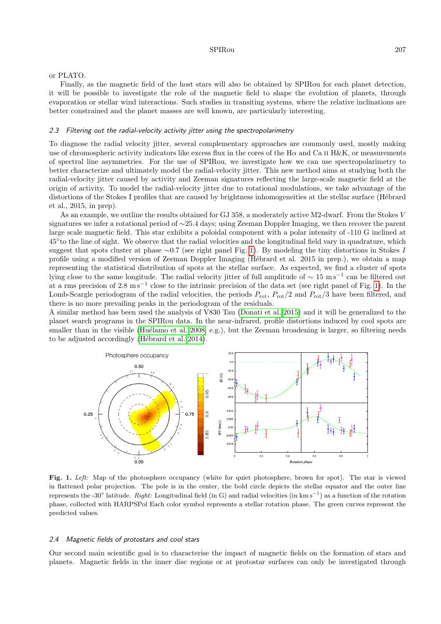#### or PLATO.

Finally, as the magnetic field of the host stars will also be obtained by SPIRou for each planet detection, it will be possible to investigate the role of the magnetic field to shape the evolution of planets, through evaporation or stellar wind interactions. Such studies in transiting systems, where the relative inclinations are better constrained and the planet masses are well known, are particularly interesting.

#### 2.3 Filtering out the radial-velocity activity jitter using the spectropolarimetry

To diagnose the radial velocity jitter, several complementary approaches are commonly used, mostly making use of chromospheric activity indicators like excess flux in the cores of the H $\alpha$  and Ca II H&K, or measurements of spectral line asymmetries. For the use of SPIRou, we investigate how we can use spectropolarimetry to better characterize and ultimately model the radial-velocity jitter. This new method aims at studying both the radial-velocity jitter caused by activity and Zeeman signatures reflecting the large-scale magnetic field at the origin of activity. To model the radial-velocity jitter due to rotational modulations, we take advantage of the distortions of the Stokes I profiles that are caused by brightness inhomogeneities at the stellar surface (Hébrard et al., 2015, in prep).

As an example, we outline the results obtained for GJ 358, a moderately active M2-dwarf. From the Stokes V signatures we infer a rotational period of ∼25.4 days; using Zeeman Doppler Imaging, we then recover the parent large scale magnetic field. This star exhibits a poloidal component with a polar intensity of -110 G inclined at 45◦ to the line of sight. We observe that the radial velocities and the longitudinal field vary in quadrature, which suggest that spots cluster at phase ∼0.7 (see right panel Fig. [1\)](#page-2-0). By modeling the tiny distortions in Stokes I profile using a modified version of Zeeman Doppler Imaging (Hébrard et al. 2015 in prep.), we obtain a map representing the statistical distribution of spots at the stellar surface. As expected, we find a cluster of spots lying close to the same longitude. The radial velocity jitter of full amplitude of  $\sim 15 \text{ m s}^{-1}$  can be filtered out at a rms precision of 2.8 m s<sup>−</sup><sup>1</sup> close to the intrinsic precision of the data set (see right panel of Fig. [1\)](#page-2-0). In the Lomb-Scargle periodogram of the radial velocities, the periods  $P_{\rm rot}$ ,  $P_{\rm rot}/2$  and  $P_{\rm rot}/3$  have been filtered, and there is no more prevailing peaks in the periodogram of the residuals.

A similar method has been used the analysis of V830 Tau [\(Donati et al. 2015\)](#page-7-7) and it will be generalized to the planet search programs in the SPIRou data. In the near-infrared, profile distortions induced by cool spots are smaller than in the visible (Huélamo et al. 2008, e.g.), but the Zeeman broadening is larger, so filtering needs to be adjusted accordingly (Hébrard et al. 2014).



<span id="page-2-0"></span>Fig. 1. Left: Map of the photosphere occupancy (white for quiet photosphere, brown for spot). The star is viewed in flattened polar projection. The pole is in the center, the bold circle depicts the stellar equator and the outer line represents the -30° latitude. Right: Longitudinal field (in G) and radial velocities (in km s<sup>-1</sup>) as a function of the rotation phase, collected with HARPSPol Each color symbol represents a stellar rotation phase. The green curves represent the predicted values.

## 2.4 Magnetic fields of protostars and cool stars

Our second main scientific goal is to characterise the impact of magnetic fields on the formation of stars and planets. Magnetic fields in the inner disc regions or at protostar surfaces can only be investigated through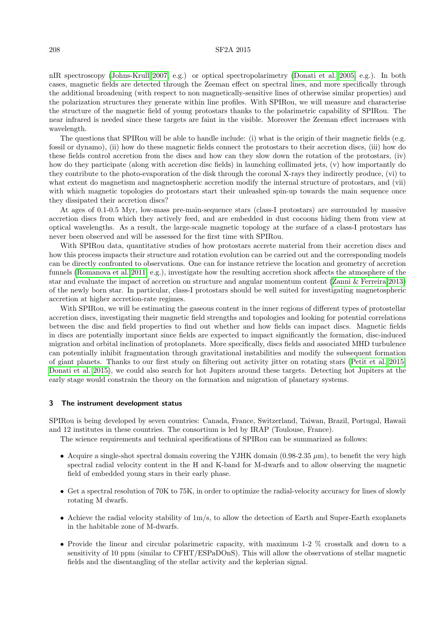## 208 SF2A 2015

nIR spectroscopy [\(Johns-Krull 2007,](#page-7-10) e.g.) or optical spectropolarimetry [\(Donati et al. 2005,](#page-7-11) e.g.). In both cases, magnetic fields are detected through the Zeeman effect on spectral lines, and more specifically through the additional broadening (with respect to non magnetically-sensitive lines of otherwise similar properties) and the polarization structures they generate within line profiles. With SPIRou, we will measure and characterise the structure of the magnetic field of young protostars thanks to the polarimetric capability of SPIRou. The near infrared is needed since these targets are faint in the visible. Moreover the Zeeman effect increases with wavelength.

The questions that SPIRou will be able to handle include: (i) what is the origin of their magnetic fields (e.g. fossil or dynamo), (ii) how do these magnetic fields connect the protostars to their accretion discs, (iii) how do these fields control accretion from the discs and how can they slow down the rotation of the protostars, (iv) how do they participate (along with accretion disc fields) in launching collimated jets, (v) how importantly do they contribute to the photo-evaporation of the disk through the coronal X-rays they indirectly produce, (vi) to what extent do magnetism and magnetospheric accretion modify the internal structure of protostars, and (vii) with which magnetic topologies do protostars start their unleashed spin-up towards the main sequence once they dissipated their accretion discs?

At ages of 0.1-0.5 Myr, low-mass pre-main-sequence stars (class-I protostars) are surrounded by massive accretion discs from which they actively feed, and are embedded in dust cocoons hiding them from view at optical wavelengths. As a result, the large-scale magnetic topology at the surface of a class-I protostars has never been observed and will be assessed for the first time with SPIRou.

With SPIRou data, quantitative studies of how protostars accrete material from their accretion discs and how this process impacts their structure and rotation evolution can be carried out and the corresponding models can be directly confronted to observations. One can for instance retrieve the location and geometry of accretion funnels [\(Romanova et al. 2011,](#page-7-12) e.g.), investigate how the resulting accretion shock affects the atmosphere of the star and evaluate the impact of accretion on structure and angular momentum content [\(Zanni & Ferreira 2013\)](#page-7-13) of the newly born star. In particular, class-I protostars should be well suited for investigating magnetospheric accretion at higher accretion-rate regimes.

With SPIRou, we will be estimating the gaseous content in the inner regions of different types of protostellar accretion discs, investigating their magnetic field strengths and topologies and looking for potential correlations between the disc and field properties to find out whether and how fields can impact discs. Magnetic fields in discs are potentially important since fields are expected to impact significantly the formation, disc-induced migration and orbital inclination of protoplanets. More specifically, discs fields and associated MHD turbulence can potentially inhibit fragmentation through gravitational instabilities and modify the subsequent formation of giant planets. Thanks to our first study on filtering out activity jitter on rotating stars [\(Petit et al. 2015;](#page-7-14) [Donati et al. 2015\)](#page-7-7), we could also search for hot Jupiters around these targets. Detecting hot Jupiters at the early stage would constrain the theory on the formation and migration of planetary systems.

#### 3 The instrument development status

SPIRou is being developed by seven countries: Canada, France, Switzerland, Taiwan, Brazil, Portugal, Hawaii and 12 institutes in these countries. The consortium is led by IRAP (Toulouse, France).

The science requirements and technical specifications of SPIRou can be summarized as follows:

- Acquire a single-shot spectral domain covering the YJHK domain  $(0.98-2.35 \mu m)$ , to benefit the very high spectral radial velocity content in the H and K-band for M-dwarfs and to allow observing the magnetic field of embedded young stars in their early phase.
- Get a spectral resolution of 70K to 75K, in order to optimize the radial-velocity accuracy for lines of slowly rotating M dwarfs.
- Achieve the radial velocity stability of  $1m/s$ , to allow the detection of Earth and Super-Earth exoplanets in the habitable zone of M-dwarfs.
- Provide the linear and circular polarimetric capacity, with maximum 1-2 % crosstalk and down to a sensitivity of 10 ppm (similar to CFHT/ESPaDOnS). This will allow the observations of stellar magnetic fields and the disentangling of the stellar activity and the keplerian signal.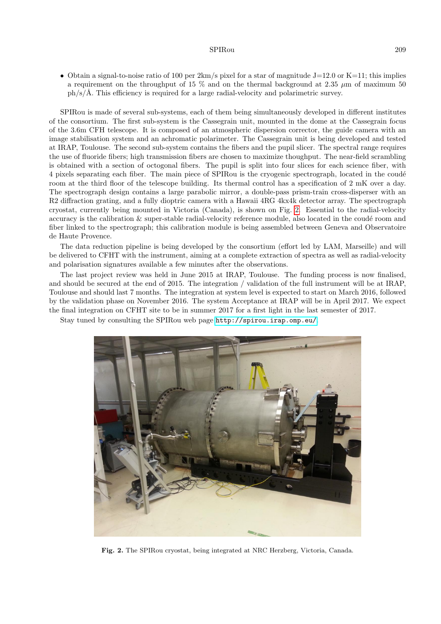### SPIRou 209

• Obtain a signal-to-noise ratio of 100 per  $2km/s$  pixel for a star of magnitude J=12.0 or K=11; this implies a requirement on the throughput of 15  $\%$  and on the thermal background at 2.35  $\mu$ m of maximum 50  $ph/s/\text{\AA}$ . This efficiency is required for a large radial-velocity and polarimetric survey.

SPIRou is made of several sub-systems, each of them being simultaneously developed in different institutes of the consortium. The first sub-system is the Cassegrain unit, mounted in the dome at the Cassegrain focus of the 3.6m CFH telescope. It is composed of an atmospheric dispersion corrector, the guide camera with an image stabilisation system and an achromatic polarimeter. The Cassegrain unit is being developed and tested at IRAP, Toulouse. The second sub-system contains the fibers and the pupil slicer. The spectral range requires the use of fluoride fibers; high transmission fibers are chosen to maximize thoughput. The near-field scrambling is obtained with a section of octogonal fibers. The pupil is split into four slices for each science fiber, with 4 pixels separating each fiber. The main piece of SPIRou is the cryogenic spectrograph, located in the coudé room at the third floor of the telescope building. Its thermal control has a specification of 2 mK over a day. The spectrograph design contains a large parabolic mirror, a double-pass prism-train cross-disperser with an R2 diffraction grating, and a fully dioptric camera with a Hawaii 4RG 4kx4k detector array. The spectrograph cryostat, currently being mounted in Victoria (Canada), is shown on Fig. [2.](#page-4-0) Essential to the radial-velocity accuracy is the calibration  $&$  super-stable radial-velocity reference module, also located in the coudé room and fiber linked to the spectrograph; this calibration module is being assembled between Geneva and Observatoire de Haute Provence.

The data reduction pipeline is being developed by the consortium (effort led by LAM, Marseille) and will be delivered to CFHT with the instrument, aiming at a complete extraction of spectra as well as radial-velocity and polarisation signatures available a few minutes after the observations.

The last project review was held in June 2015 at IRAP, Toulouse. The funding process is now finalised, and should be secured at the end of 2015. The integration / validation of the full instrument will be at IRAP, Toulouse and should last 7 months. The integration at system level is expected to start on March 2016, followed by the validation phase on November 2016. The system Acceptance at IRAP will be in April 2017. We expect the final integration on CFHT site to be in summer 2017 for a first light in the last semester of 2017.

Stay tuned by consulting the SPIRou web page <http://spirou.irap.omp.eu/>.

<span id="page-4-0"></span>

Fig. 2. The SPIRou cryostat, being integrated at NRC Herzberg, Victoria, Canada.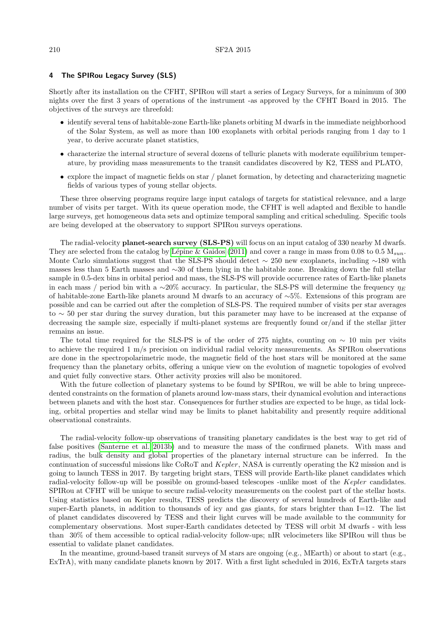## 4 The SPIRou Legacy Survey (SLS)

Shortly after its installation on the CFHT, SPIRou will start a series of Legacy Surveys, for a minimum of 300 nights over the first 3 years of operations of the instrument -as approved by the CFHT Board in 2015. The objectives of the surveys are threefold:

- identify several tens of habitable-zone Earth-like planets orbiting M dwarfs in the immediate neighborhood of the Solar System, as well as more than 100 exoplanets with orbital periods ranging from 1 day to 1 year, to derive accurate planet statistics,
- characterize the internal structure of several dozens of telluric planets with moderate equilibrium temperature, by providing mass measurements to the transit candidates discovered by K2, TESS and PLATO,
- explore the impact of magnetic fields on star  $\ell$  planet formation, by detecting and characterizing magnetic fields of various types of young stellar objects.

These three observing programs require large input catalogs of targets for statistical relevance, and a large number of visits per target. With its queue operation mode, the CFHT is well adapted and flexible to handle large surveys, get homogeneous data sets and optimize temporal sampling and critical scheduling. Specific tools are being developed at the observatory to support SPIRou surveys operations.

The radial-velocity **planet-search survey (SLS-PS)** will focus on an input catalog of 330 nearby M dwarfs. They are selected from the catalog by Lépine & Gaidos [\(2011\)](#page-7-15) and cover a range in mass from 0.08 to 0.5  $M_{sun}$ . Monte Carlo simulations suggest that the SLS-PS should detect  $\sim$  250 new exoplanets, including  $\sim$ 180 with masses less than 5 Earth masses and ∼30 of them lying in the habitable zone. Breaking down the full stellar sample in 0.5-dex bins in orbital period and mass, the SLS-PS will provide occurrence rates of Earth-like planets in each mass / period bin with a ∼20% accuracy. In particular, the SLS-PS will determine the frequency  $\eta_E$ of habitable-zone Earth-like planets around M dwarfs to an accuracy of ∼5%. Extensions of this program are possible and can be carried out after the completion of SLS-PS. The required number of visits per star averages to ∼ 50 per star during the survey duration, but this parameter may have to be increased at the expanse of decreasing the sample size, especially if multi-planet systems are frequently found or/and if the stellar jitter remains an issue.

The total time required for the SLS-PS is of the order of 275 nights, counting on ∼ 10 min per visits to achieve the required 1 m/s precision on individual radial velocity measurements. As SPIRou observations are done in the spectropolarimetric mode, the magnetic field of the host stars will be monitored at the same frequency than the planetary orbits, offering a unique view on the evolution of magnetic topologies of evolved and quiet fully convective stars. Other activity proxies will also be monitored.

With the future collection of planetary systems to be found by SPIRou, we will be able to bring unprecedented constraints on the formation of planets around low-mass stars, their dynamical evolution and interactions between planets and with the host star. Consequences for further studies are expected to be huge, as tidal locking, orbital properties and stellar wind may be limits to planet habitability and presently require additional observational constraints.

The radial-velocity follow-up observations of transiting planetary candidates is the best way to get rid of false positives [\(Santerne et al. 2013b\)](#page-7-16) and to measure the mass of the confirmed planets. With mass and radius, the bulk density and global properties of the planetary internal structure can be inferred. In the continuation of successful missions like CoRoT and Kepler, NASA is currently operating the K2 mission and is going to launch TESS in 2017. By targeting bright stars, TESS will provide Earth-like planet candidates which radial-velocity follow-up will be possible on ground-based telescopes -unlike most of the Kepler candidates. SPIRou at CFHT will be unique to secure radial-velocity measurements on the coolest part of the stellar hosts. Using statistics based on Kepler results, TESS predicts the discovery of several hundreds of Earth-like and super-Earth planets, in addition to thousands of icy and gas giants, for stars brighter than  $I=12$ . The list of planet candidates discovered by TESS and their light curves will be made available to the community for complementary observations. Most super-Earth candidates detected by TESS will orbit M dwarfs - with less than 30% of them accessible to optical radial-velocity follow-ups; nIR velocimeters like SPIRou will thus be essential to validate planet candidates.

In the meantime, ground-based transit surveys of M stars are ongoing (e.g., MEarth) or about to start (e.g., ExTrA), with many candidate planets known by 2017. With a first light scheduled in 2016, ExTrA targets stars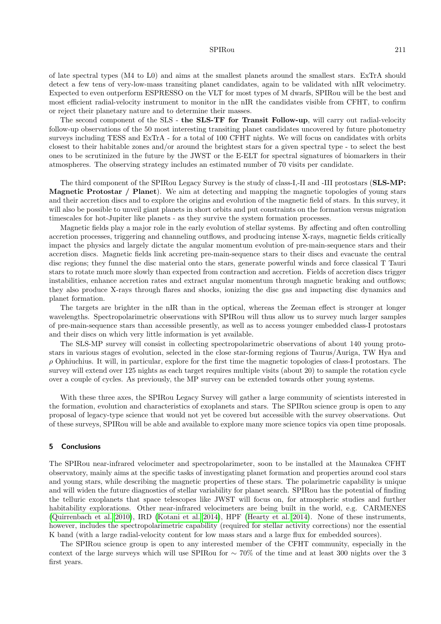#### SPIRou 211

of late spectral types (M4 to L0) and aims at the smallest planets around the smallest stars. ExTrA should detect a few tens of very-low-mass transiting planet candidates, again to be validated with nIR velocimetry. Expected to even outperform ESPRESSO on the VLT for most types of M dwarfs, SPIRou will be the best and most efficient radial-velocity instrument to monitor in the nIR the candidates visible from CFHT, to confirm or reject their planetary nature and to determine their masses.

The second component of the SLS - the SLS-TF for Transit Follow-up, will carry out radial-velocity follow-up observations of the 50 most interesting transiting planet candidates uncovered by future photometry surveys including TESS and ExTrA - for a total of 100 CFHT nights. We will focus on candidates with orbits closest to their habitable zones and/or around the brightest stars for a given spectral type - to select the best ones to be scrutinized in the future by the JWST or the E-ELT for spectral signatures of biomarkers in their atmospheres. The observing strategy includes an estimated number of 70 visits per candidate.

The third component of the SPIRou Legacy Survey is the study of class-I,-II and -III protostars (SLS-MP: Magnetic Protostar / Planet). We aim at detecting and mapping the magnetic topologies of young stars and their accretion discs and to explore the origins and evolution of the magnetic field of stars. In this survey, it will also be possible to unveil giant planets in short orbits and put constraints on the formation versus migration timescales for hot-Jupiter like planets - as they survive the system formation processes.

Magnetic fields play a major role in the early evolution of stellar systems. By affecting and often controlling accretion processes, triggering and channeling outflows, and producing intense X-rays, magnetic fields critically impact the physics and largely dictate the angular momentum evolution of pre-main-sequence stars and their accretion discs. Magnetic fields link accreting pre-main-sequence stars to their discs and evacuate the central disc regions; they funnel the disc material onto the stars, generate powerful winds and force classical T Tauri stars to rotate much more slowly than expected from contraction and accretion. Fields of accretion discs trigger instabilities, enhance accretion rates and extract angular momentum through magnetic braking and outflows; they also produce X-rays through flares and shocks, ionizing the disc gas and impacting disc dynamics and planet formation.

The targets are brighter in the nIR than in the optical, whereas the Zeeman effect is stronger at longer wavelengths. Spectropolarimetric observations with SPIRou will thus allow us to survey much larger samples of pre-main-sequence stars than accessible presently, as well as to access younger embedded class-I protostars and their discs on which very little information is yet available.

The SLS-MP survey will consist in collecting spectropolarimetric observations of about 140 young protostars in various stages of evolution, selected in the close star-forming regions of Taurus/Auriga, TW Hya and  $\rho$  Ophiuchius. It will, in particular, explore for the first time the magnetic topologies of class-I protostars. The survey will extend over 125 nights as each target requires multiple visits (about 20) to sample the rotation cycle over a couple of cycles. As previously, the MP survey can be extended towards other young systems.

With these three axes, the SPIRou Legacy Survey will gather a large community of scientists interested in the formation, evolution and characteristics of exoplanets and stars. The SPIRou science group is open to any proposal of legacy-type science that would not yet be covered but accessible with the survey observations. Out of these surveys, SPIRou will be able and available to explore many more science topics via open time proposals.

#### 5 Conclusions

The SPIRou near-infrared velocimeter and spectropolarimeter, soon to be installed at the Maunakea CFHT observatory, mainly aims at the specific tasks of investigating planet formation and properties around cool stars and young stars, while describing the magnetic properties of these stars. The polarimetric capability is unique and will widen the future diagnostics of stellar variability for planet search. SPIRou has the potential of finding the telluric exoplanets that space telescopes like JWST will focus on, for atmospheric studies and further habitability explorations. Other near-infrared velocimeters are being built in the world, e.g. CARMENES [\(Quirrenbach et al. 2010\)](#page-7-17), IRD [\(Kotani et al. 2014\)](#page-7-18), HPF [\(Hearty et al. 2014\)](#page-7-19). None of these instruments, however, includes the spectropolarimetric capability (required for stellar activity corrections) nor the essential K band (with a large radial-velocity content for low mass stars and a large flux for embedded sources).

The SPIRou science group is open to any interested member of the CFHT community, especially in the context of the large surveys which will use SPIRou for ∼ 70% of the time and at least 300 nights over the 3 first years.